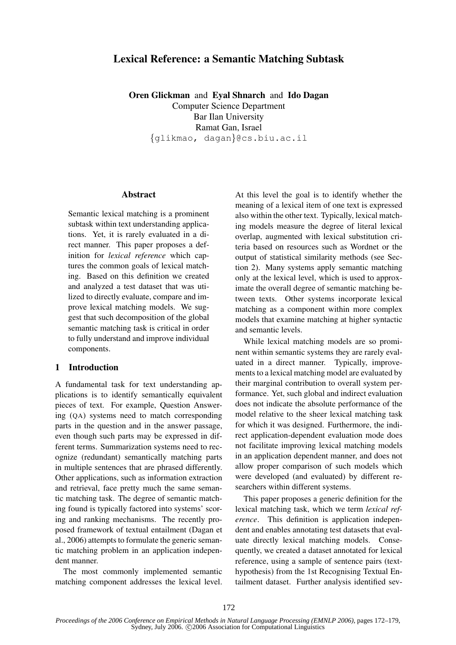# Lexical Reference: a Semantic Matching Subtask

Oren Glickman and Eyal Shnarch and Ido Dagan Computer Science Department Bar Ilan University Ramat Gan, Israel {glikmao, dagan}@cs.biu.ac.il

### **Abstract**

Semantic lexical matching is a prominent subtask within text understanding applications. Yet, it is rarely evaluated in a direct manner. This paper proposes a definition for *lexical reference* which captures the common goals of lexical matching. Based on this definition we created and analyzed a test dataset that was utilized to directly evaluate, compare and improve lexical matching models. We suggest that such decomposition of the global semantic matching task is critical in order to fully understand and improve individual components.

### 1 Introduction

A fundamental task for text understanding applications is to identify semantically equivalent pieces of text. For example, Question Answering (QA) systems need to match corresponding parts in the question and in the answer passage, even though such parts may be expressed in different terms. Summarization systems need to recognize (redundant) semantically matching parts in multiple sentences that are phrased differently. Other applications, such as information extraction and retrieval, face pretty much the same semantic matching task. The degree of semantic matching found is typically factored into systems' scoring and ranking mechanisms. The recently proposed framework of textual entailment (Dagan et al., 2006) attempts to formulate the generic semantic matching problem in an application independent manner.

The most commonly implemented semantic matching component addresses the lexical level.

At this level the goal is to identify whether the meaning of a lexical item of one text is expressed also within the other text. Typically, lexical matching models measure the degree of literal lexical overlap, augmented with lexical substitution criteria based on resources such as Wordnet or the output of statistical similarity methods (see Section 2). Many systems apply semantic matching only at the lexical level, which is used to approximate the overall degree of semantic matching between texts. Other systems incorporate lexical matching as a component within more complex models that examine matching at higher syntactic and semantic levels.

While lexical matching models are so prominent within semantic systems they are rarely evaluated in a direct manner. Typically, improvements to a lexical matching model are evaluated by their marginal contribution to overall system performance. Yet, such global and indirect evaluation does not indicate the absolute performance of the model relative to the sheer lexical matching task for which it was designed. Furthermore, the indirect application-dependent evaluation mode does not facilitate improving lexical matching models in an application dependent manner, and does not allow proper comparison of such models which were developed (and evaluated) by different researchers within different systems.

This paper proposes a generic definition for the lexical matching task, which we term *lexical reference*. This definition is application independent and enables annotating test datasets that evaluate directly lexical matching models. Consequently, we created a dataset annotated for lexical reference, using a sample of sentence pairs (texthypothesis) from the 1st Recognising Textual Entailment dataset. Further analysis identified sev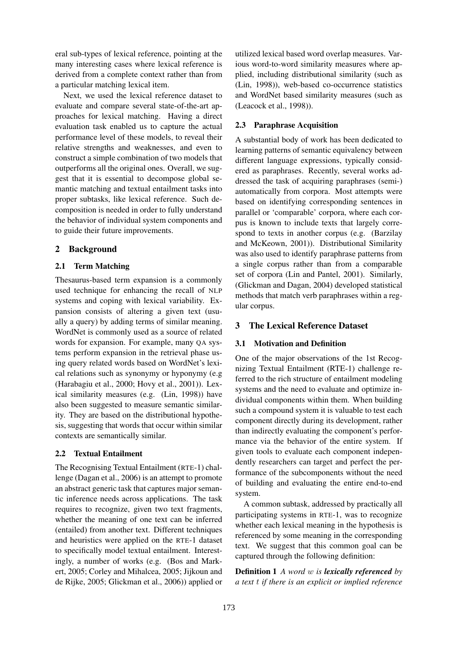eral sub-types of lexical reference, pointing at the many interesting cases where lexical reference is derived from a complete context rather than from a particular matching lexical item.

Next, we used the lexical reference dataset to evaluate and compare several state-of-the-art approaches for lexical matching. Having a direct evaluation task enabled us to capture the actual performance level of these models, to reveal their relative strengths and weaknesses, and even to construct a simple combination of two models that outperforms all the original ones. Overall, we suggest that it is essential to decompose global semantic matching and textual entailment tasks into proper subtasks, like lexical reference. Such decomposition is needed in order to fully understand the behavior of individual system components and to guide their future improvements.

### 2 Background

### 2.1 Term Matching

Thesaurus-based term expansion is a commonly used technique for enhancing the recall of NLP systems and coping with lexical variability. Expansion consists of altering a given text (usually a query) by adding terms of similar meaning. WordNet is commonly used as a source of related words for expansion. For example, many QA systems perform expansion in the retrieval phase using query related words based on WordNet's lexical relations such as synonymy or hyponymy (e.g (Harabagiu et al., 2000; Hovy et al., 2001)). Lexical similarity measures (e.g. (Lin, 1998)) have also been suggested to measure semantic similarity. They are based on the distributional hypothesis, suggesting that words that occur within similar contexts are semantically similar.

### 2.2 Textual Entailment

The Recognising Textual Entailment (RTE-1) challenge (Dagan et al., 2006) is an attempt to promote an abstract generic task that captures major semantic inference needs across applications. The task requires to recognize, given two text fragments, whether the meaning of one text can be inferred (entailed) from another text. Different techniques and heuristics were applied on the RTE-1 dataset to specifically model textual entailment. Interestingly, a number of works (e.g. (Bos and Markert, 2005; Corley and Mihalcea, 2005; Jijkoun and de Rijke, 2005; Glickman et al., 2006)) applied or

utilized lexical based word overlap measures. Various word-to-word similarity measures where applied, including distributional similarity (such as (Lin, 1998)), web-based co-occurrence statistics and WordNet based similarity measures (such as (Leacock et al., 1998)).

### 2.3 Paraphrase Acquisition

A substantial body of work has been dedicated to learning patterns of semantic equivalency between different language expressions, typically considered as paraphrases. Recently, several works addressed the task of acquiring paraphrases (semi-) automatically from corpora. Most attempts were based on identifying corresponding sentences in parallel or 'comparable' corpora, where each corpus is known to include texts that largely correspond to texts in another corpus (e.g. (Barzilay and McKeown, 2001)). Distributional Similarity was also used to identify paraphrase patterns from a single corpus rather than from a comparable set of corpora (Lin and Pantel, 2001). Similarly, (Glickman and Dagan, 2004) developed statistical methods that match verb paraphrases within a regular corpus.

### 3 The Lexical Reference Dataset

#### 3.1 Motivation and Definition

One of the major observations of the 1st Recognizing Textual Entailment (RTE-1) challenge referred to the rich structure of entailment modeling systems and the need to evaluate and optimize individual components within them. When building such a compound system it is valuable to test each component directly during its development, rather than indirectly evaluating the component's performance via the behavior of the entire system. If given tools to evaluate each component independently researchers can target and perfect the performance of the subcomponents without the need of building and evaluating the entire end-to-end system.

A common subtask, addressed by practically all participating systems in RTE-1, was to recognize whether each lexical meaning in the hypothesis is referenced by some meaning in the corresponding text. We suggest that this common goal can be captured through the following definition:

Definition 1 *A word* w *is lexically referenced by a text* t *if there is an explicit or implied reference*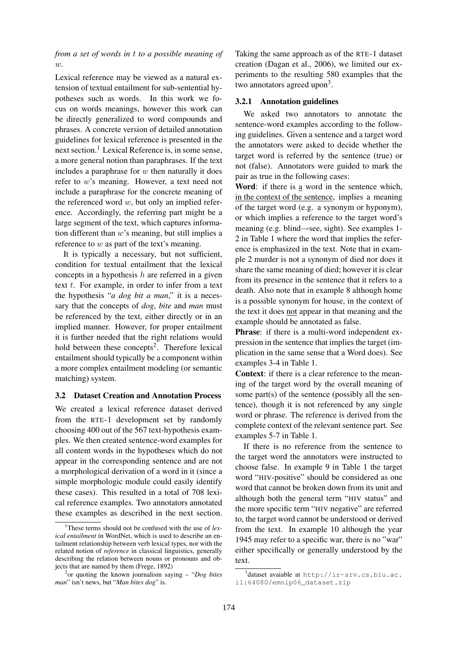*from a set of words in* t *to a possible meaning of* w*.*

Lexical reference may be viewed as a natural extension of textual entailment for sub-sentential hypotheses such as words. In this work we focus on words meanings, however this work can be directly generalized to word compounds and phrases. A concrete version of detailed annotation guidelines for lexical reference is presented in the next section.<sup>1</sup> Lexical Reference is, in some sense, a more general notion than paraphrases. If the text includes a paraphrase for  $w$  then naturally it does refer to w's meaning. However, a text need not include a paraphrase for the concrete meaning of the referenced word  $w$ , but only an implied reference. Accordingly, the referring part might be a large segment of the text, which captures information different than  $w$ 's meaning, but still implies a reference to  $w$  as part of the text's meaning.

It is typically a necessary, but not sufficient, condition for textual entailment that the lexical concepts in a hypothesis  $h$  are referred in a given text  $t$ . For example, in order to infer from a text the hypothesis "*a dog bit a man*," it is a necessary that the concepts of *dog*, *bite* and *man* must be referenced by the text, either directly or in an implied manner. However, for proper entailment it is further needed that the right relations would hold between these concepts<sup>2</sup>. Therefore lexical entailment should typically be a component within a more complex entailment modeling (or semantic matching) system.

### 3.2 Dataset Creation and Annotation Process

We created a lexical reference dataset derived from the RTE-1 development set by randomly choosing 400 out of the 567 text-hypothesis examples. We then created sentence-word examples for all content words in the hypotheses which do not appear in the corresponding sentence and are not a morphological derivation of a word in it (since a simple morphologic module could easily identify these cases). This resulted in a total of 708 lexical reference examples. Two annotators annotated these examples as described in the next section.

Taking the same approach as of the RTE-1 dataset creation (Dagan et al., 2006), we limited our experiments to the resulting 580 examples that the two annotators agreed upon<sup>3</sup>.

#### 3.2.1 Annotation guidelines

We asked two annotators to annotate the sentence-word examples according to the following guidelines. Given a sentence and a target word the annotators were asked to decide whether the target word is referred by the sentence (true) or not (false). Annotators were guided to mark the pair as true in the following cases:

Word: if there is a word in the sentence which, in the context of the sentence, implies a meaning of the target word (e.g. a synonym or hyponym), or which implies a reference to the target word's meaning (e.g. blind→see, sight). See examples 1- 2 in Table 1 where the word that implies the reference is emphasized in the text. Note that in example 2 murder is not a synonym of died nor does it share the same meaning of died; however it is clear from its presence in the sentence that it refers to a death. Also note that in example 8 although home is a possible synonym for house, in the context of the text it does not appear in that meaning and the example should be annotated as false.

Phrase: if there is a multi-word independent expression in the sentence that implies the target (implication in the same sense that a Word does). See examples 3-4 in Table 1.

Context: if there is a clear reference to the meaning of the target word by the overall meaning of some part(s) of the sentence (possibly all the sentence), though it is not referenced by any single word or phrase. The reference is derived from the complete context of the relevant sentence part. See examples 5-7 in Table 1.

If there is no reference from the sentence to the target word the annotators were instructed to choose false. In example 9 in Table 1 the target word "HIV-positive" should be considered as one word that cannot be broken down from its unit and although both the general term "HIV status" and the more specific term "HIV negative" are referred to, the target word cannot be understood or derived from the text. In example 10 although the year 1945 may refer to a specific war, there is no "war" either specifically or generally understood by the text.

<sup>1</sup>These terms should not be confused with the use of *lexical entailment* in WordNet, which is used to describe an entailment relationship between verb lexical types, nor with the related notion of *reference* in classical linguistics, generally describing the relation between nouns or pronouns and objects that are named by them (Frege, 1892)

<sup>2</sup> or quoting the known journalism saying – "*Dog bites man*" isn't news, but "*Man bites dog*" is.

<sup>3</sup> dataset avaiable at http://ir-srv.cs.biu.ac. il:64080/emnlp06\_dataset.zip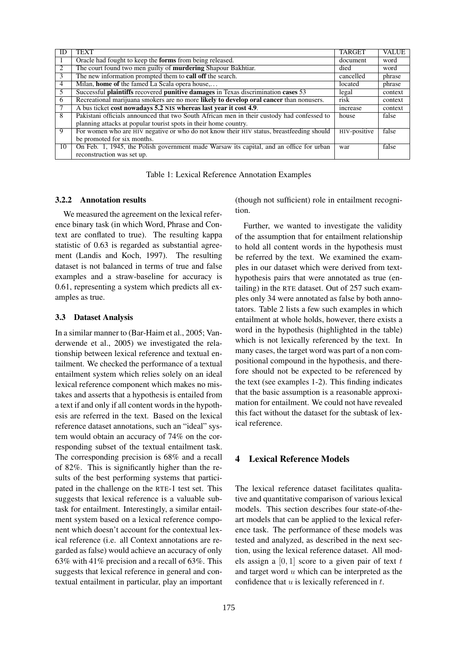| ID             | <b>TEXT</b>                                                                                | <b>TARGET</b> | <b>VALUE</b> |
|----------------|--------------------------------------------------------------------------------------------|---------------|--------------|
|                | Oracle had fought to keep the forms from being released.                                   | document      | word         |
| 2              | The court found two men guilty of murdering Shapour Bakhtiar.                              | died          | word         |
| 3              | The new information prompted them to <b>call off</b> the search.                           | cancelled     | phrase       |
| $\overline{4}$ | Milan, home of the famed La Scala opera house,                                             | located       | phrase       |
| -5             | Successful plaintiffs recovered punitive damages in Texas discrimination cases 53          | legal         | context      |
| 6              | Recreational marijuana smokers are no more likely to develop oral cancer than nonusers.    | risk          | context      |
|                | A bus ticket cost nowadays 5.2 NIS whereas last year it cost 4.9.                          | increase      | context      |
| 8              | Pakistani officials announced that two South African men in their custody had confessed to | house         | false        |
|                | planning attacks at popular tourist spots in their home country.                           |               |              |
| $\overline{9}$ | For women who are HIV negative or who do not know their HIV status, breastfeeding should   | HIV-positive  | false        |
|                | be promoted for six months.                                                                |               |              |
| 10             | On Feb. 1, 1945, the Polish government made Warsaw its capital, and an office for urban    | war           | false        |
|                | reconstruction was set up.                                                                 |               |              |

Table 1: Lexical Reference Annotation Examples

#### 3.2.2 Annotation results

We measured the agreement on the lexical reference binary task (in which Word, Phrase and Context are conflated to true). The resulting kappa statistic of 0.63 is regarded as substantial agreement (Landis and Koch, 1997). The resulting dataset is not balanced in terms of true and false examples and a straw-baseline for accuracy is 0.61, representing a system which predicts all examples as true.

#### 3.3 Dataset Analysis

In a similar manner to (Bar-Haim et al., 2005; Vanderwende et al., 2005) we investigated the relationship between lexical reference and textual entailment. We checked the performance of a textual entailment system which relies solely on an ideal lexical reference component which makes no mistakes and asserts that a hypothesis is entailed from a text if and only if all content words in the hypothesis are referred in the text. Based on the lexical reference dataset annotations, such an "ideal" system would obtain an accuracy of 74% on the corresponding subset of the textual entailment task. The corresponding precision is 68% and a recall of 82%. This is significantly higher than the results of the best performing systems that participated in the challenge on the RTE-1 test set. This suggests that lexical reference is a valuable subtask for entailment. Interestingly, a similar entailment system based on a lexical reference component which doesn't account for the contextual lexical reference (i.e. all Context annotations are regarded as false) would achieve an accuracy of only 63% with 41% precision and a recall of 63%. This suggests that lexical reference in general and contextual entailment in particular, play an important (though not sufficient) role in entailment recognition.

Further, we wanted to investigate the validity of the assumption that for entailment relationship to hold all content words in the hypothesis must be referred by the text. We examined the examples in our dataset which were derived from texthypothesis pairs that were annotated as true (entailing) in the RTE dataset. Out of 257 such examples only 34 were annotated as false by both annotators. Table 2 lists a few such examples in which entailment at whole holds, however, there exists a word in the hypothesis (highlighted in the table) which is not lexically referenced by the text. In many cases, the target word was part of a non compositional compound in the hypothesis, and therefore should not be expected to be referenced by the text (see examples 1-2). This finding indicates that the basic assumption is a reasonable approximation for entailment. We could not have revealed this fact without the dataset for the subtask of lexical reference.

### 4 Lexical Reference Models

The lexical reference dataset facilitates qualitative and quantitative comparison of various lexical models. This section describes four state-of-theart models that can be applied to the lexical reference task. The performance of these models was tested and analyzed, as described in the next section, using the lexical reference dataset. All models assign a  $[0, 1]$  score to a given pair of text t and target word u which can be interpreted as the confidence that  $u$  is lexically referenced in  $t$ .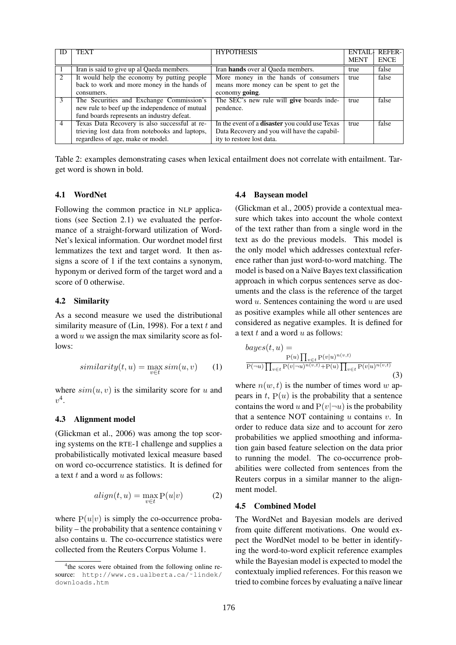| ID             | <b>TEXT</b>                                    | <b>HYPOTHESIS</b>                              | ENTAIL+     | <b>REFER-1</b> |
|----------------|------------------------------------------------|------------------------------------------------|-------------|----------------|
|                |                                                |                                                | <b>MENT</b> | <b>ENCE</b>    |
|                | Iran is said to give up al Qaeda members.      | Iran <b>hands</b> over al Qaeda members.       | true        | false          |
| 2              | It would help the economy by putting people    | More money in the hands of consumers           | true        | false          |
|                | back to work and more money in the hands of    | means more money can be spent to get the       |             |                |
|                | consumers.                                     | economy going.                                 |             |                |
| 3              | The Securities and Exchange Commission's       | The SEC's new rule will give boards inde-      | true        | false          |
|                | new rule to beef up the independence of mutual | pendence.                                      |             |                |
|                | fund boards represents an industry defeat.     |                                                |             |                |
| $\overline{4}$ | Texas Data Recovery is also successful at re-  | In the event of a disaster you could use Texas | true        | false          |
|                | trieving lost data from notebooks and laptops, | Data Recovery and you will have the capabil-   |             |                |
|                | regardless of age, make or model.              | ity to restore lost data.                      |             |                |

Table 2: examples demonstrating cases when lexical entailment does not correlate with entailment. Target word is shown in bold.

#### 4.1 WordNet

Following the common practice in NLP applications (see Section 2.1) we evaluated the performance of a straight-forward utilization of Word-Net's lexical information. Our wordnet model first lemmatizes the text and target word. It then assigns a score of 1 if the text contains a synonym, hyponym or derived form of the target word and a score of 0 otherwise.

### 4.2 Similarity

As a second measure we used the distributional similarity measure of (Lin, 1998). For a text  $t$  and a word u we assign the max similarity score as follows:

$$
similarity(t, u) = \max_{v \in t} sim(u, v) \qquad (1)
$$

where  $sim(u, v)$  is the similarity score for u and  $v^4$ .

#### 4.3 Alignment model

(Glickman et al., 2006) was among the top scoring systems on the RTE-1 challenge and supplies a probabilistically motivated lexical measure based on word co-occurrence statistics. It is defined for a text  $t$  and a word  $u$  as follows:

$$
align(t, u) = \max_{v \in t} P(u|v)
$$
 (2)

where  $P(u|v)$  is simply the co-occurrence probability – the probability that a sentence containing v also contains u. The co-occurrence statistics were collected from the Reuters Corpus Volume 1.

#### 4.4 Baysean model

(Glickman et al., 2005) provide a contextual measure which takes into account the whole context of the text rather than from a single word in the text as do the previous models. This model is the only model which addresses contextual reference rather than just word-to-word matching. The model is based on a Naïve Bayes text classification approach in which corpus sentences serve as documents and the class is the reference of the target word  $u$ . Sentences containing the word  $u$  are used as positive examples while all other sentences are considered as negative examples. It is defined for a text  $t$  and a word  $u$  as follows:

$$
bayes(t, u) =
$$
  
\n
$$
\frac{P(u) \prod_{v \in t} P(v|u)^{n(v,t)}}{P(\neg u) \prod_{v \in t} P(v|\neg u)^{n(v,t)} + P(u) \prod_{v \in t} P(v|u)^{n(v,t)}}(3)
$$

where  $n(w, t)$  is the number of times word w appears in  $t$ ,  $P(u)$  is the probability that a sentence contains the word u and  $P(v|\neg u)$  is the probability that a sentence NOT containing  $u$  contains  $v$ . In order to reduce data size and to account for zero probabilities we applied smoothing and information gain based feature selection on the data prior to running the model. The co-occurrence probabilities were collected from sentences from the Reuters corpus in a similar manner to the alignment model.

### 4.5 Combined Model

The WordNet and Bayesian models are derived from quite different motivations. One would expect the WordNet model to be better in identifying the word-to-word explicit reference examples while the Bayesian model is expected to model the contextualy implied references. For this reason we tried to combine forces by evaluating a naïve linear

<sup>4</sup> the scores were obtained from the following online resource: http://www.cs.ualberta.ca/˜lindek/ downloads.htm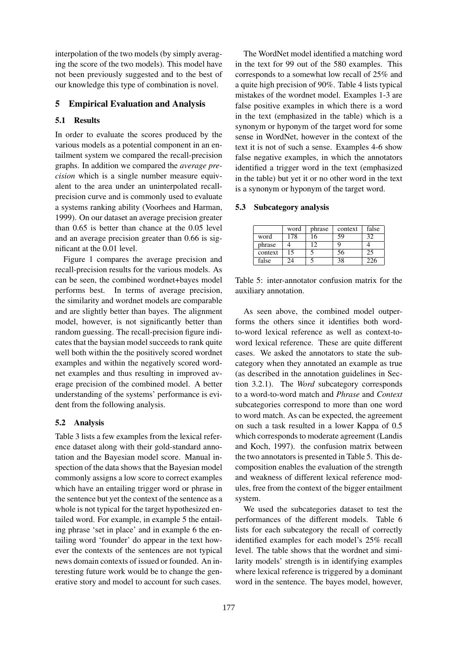interpolation of the two models (by simply averaging the score of the two models). This model have not been previously suggested and to the best of our knowledge this type of combination is novel.

### 5 Empirical Evaluation and Analysis

### 5.1 Results

In order to evaluate the scores produced by the various models as a potential component in an entailment system we compared the recall-precision graphs. In addition we compared the *average precision* which is a single number measure equivalent to the area under an uninterpolated recallprecision curve and is commonly used to evaluate a systems ranking ability (Voorhees and Harman, 1999). On our dataset an average precision greater than 0.65 is better than chance at the 0.05 level and an average precision greater than 0.66 is significant at the 0.01 level.

Figure 1 compares the average precision and recall-precision results for the various models. As can be seen, the combined wordnet+bayes model performs best. In terms of average precision, the similarity and wordnet models are comparable and are slightly better than bayes. The alignment model, however, is not significantly better than random guessing. The recall-precision figure indicates that the baysian model succeeds to rank quite well both within the the positively scored wordnet examples and within the negatively scored wordnet examples and thus resulting in improved average precision of the combined model. A better understanding of the systems' performance is evident from the following analysis.

### 5.2 Analysis

Table 3 lists a few examples from the lexical reference dataset along with their gold-standard annotation and the Bayesian model score. Manual inspection of the data shows that the Bayesian model commonly assigns a low score to correct examples which have an entailing trigger word or phrase in the sentence but yet the context of the sentence as a whole is not typical for the target hypothesized entailed word. For example, in example 5 the entailing phrase 'set in place' and in example 6 the entailing word 'founder' do appear in the text however the contexts of the sentences are not typical news domain contexts of issued or founded. An interesting future work would be to change the generative story and model to account for such cases.

The WordNet model identified a matching word in the text for 99 out of the 580 examples. This corresponds to a somewhat low recall of 25% and a quite high precision of 90%. Table 4 lists typical mistakes of the wordnet model. Examples 1-3 are false positive examples in which there is a word in the text (emphasized in the table) which is a synonym or hyponym of the target word for some sense in WordNet, however in the context of the text it is not of such a sense. Examples 4-6 show false negative examples, in which the annotators identified a trigger word in the text (emphasized in the table) but yet it or no other word in the text is a synonym or hyponym of the target word.

### 5.3 Subcategory analysis

|         | word | phrase | context | false |
|---------|------|--------|---------|-------|
| word    | 178  | 16     | 59      | 32    |
| phrase  |      | 12     |         |       |
| context | 15   |        | 56      | 25    |
| false   |      |        | 38      | 226   |

Table 5: inter-annotator confusion matrix for the auxiliary annotation.

As seen above, the combined model outperforms the others since it identifies both wordto-word lexical reference as well as context-toword lexical reference. These are quite different cases. We asked the annotators to state the subcategory when they annotated an example as true (as described in the annotation guidelines in Section 3.2.1). The *Word* subcategory corresponds to a word-to-word match and *Phrase* and *Context* subcategories correspond to more than one word to word match. As can be expected, the agreement on such a task resulted in a lower Kappa of 0.5 which corresponds to moderate agreement (Landis and Koch, 1997). the confusion matrix between the two annotators is presented in Table 5. This decomposition enables the evaluation of the strength and weakness of different lexical reference modules, free from the context of the bigger entailment system.

We used the subcategories dataset to test the performances of the different models. Table 6 lists for each subcategory the recall of correctly identified examples for each model's 25% recall level. The table shows that the wordnet and similarity models' strength is in identifying examples where lexical reference is triggered by a dominant word in the sentence. The bayes model, however,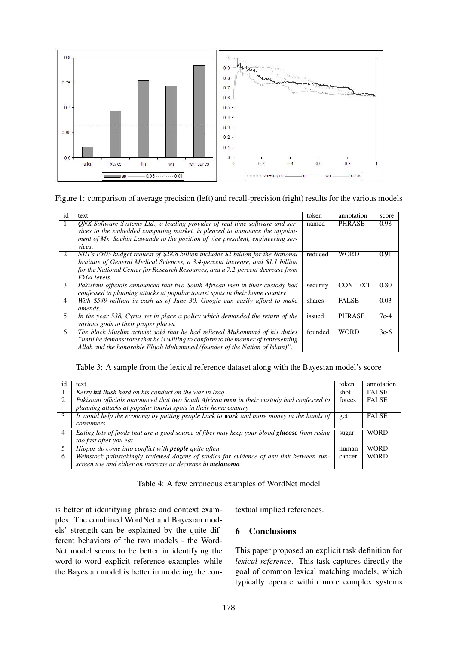

### Figure 1: comparison of average precision (left) and recall-precision (right) results for the various models

| 1d             | text                                                                               | token    | annotation     | score  |
|----------------|------------------------------------------------------------------------------------|----------|----------------|--------|
| л.             | ONX Software Systems Ltd., a leading provider of real-time software and ser-       | named    | <b>PHRASE</b>  | 0.98   |
|                | vices to the embedded computing market, is pleased to announce the appoint-        |          |                |        |
|                | ment of Mr. Sachin Lawande to the position of vice president, engineering ser-     |          |                |        |
|                | vices.                                                                             |          |                |        |
| 2              | NIH's FY05 budget request of \$28.8 billion includes \$2 billion for the National  | reduced  | WORD           | 0.91   |
|                | Institute of General Medical Sciences, a 3.4-percent increase, and \$1.1 billion   |          |                |        |
|                | for the National Center for Research Resources, and a 7.2-percent decrease from    |          |                |        |
|                | FY04 levels.                                                                       |          |                |        |
| 3              | Pakistani officials announced that two South African men in their custody had      | security | <b>CONTEXT</b> | 0.80   |
|                | confessed to planning attacks at popular tourist spots in their home country.      |          |                |        |
| $\overline{4}$ | With \$549 million in cash as of June 30, Google can easily afford to make         | shares   | <b>FALSE</b>   | 0.03   |
|                | amends.                                                                            |          |                |        |
| 5              | In the year 538, Cyrus set in place a policy which demanded the return of the      | issued   | <b>PHRASE</b>  | $7e-4$ |
|                | various gods to their proper places.                                               |          |                |        |
| 6              | The black Muslim activist said that he had relieved Muhammad of his duties         | founded  | WORD           | $3e-6$ |
|                | "until he demonstrates that he is willing to conform to the manner of representing |          |                |        |
|                | Allah and the honorable Elijah Muhammad (founder of the Nation of Islam)".         |          |                |        |

### Table 3: A sample from the lexical reference dataset along with the Bayesian model's score

| 1d | text                                                                                           | token  | annotation   |
|----|------------------------------------------------------------------------------------------------|--------|--------------|
|    | Kerry <b>hit</b> Bush hard on his conduct on the war in Iraq                                   | shot   | <b>FALSE</b> |
|    | Pakistani officials announced that two South African men in their custody had confessed to     | forces | <b>FALSE</b> |
|    | planning attacks at popular tourist spots in their home country                                |        |              |
|    | It would help the economy by putting people back to <b>work</b> and more money in the hands of | get    | <b>FALSE</b> |
|    | consumers                                                                                      |        |              |
| 4  | Eating lots of foods that are a good source of fiber may keep your blood glucose from rising   | sugar  | <b>WORD</b>  |
|    | too fast after you eat                                                                         |        |              |
|    | Hippos do come into conflict with <b>people</b> quite often                                    | human  | <b>WORD</b>  |
| 6  | Weinstock painstakingly reviewed dozens of studies for evidence of any link between sun-       | cancer | <b>WORD</b>  |
|    | screen use and either an increase or decrease in <b>melanoma</b>                               |        |              |

Table 4: A few erroneous examples of WordNet model

is better at identifying phrase and context examples. The combined WordNet and Bayesian models' strength can be explained by the quite different behaviors of the two models - the Word-Net model seems to be better in identifying the word-to-word explicit reference examples while the Bayesian model is better in modeling the contextual implied references.

## 6 Conclusions

This paper proposed an explicit task definition for *lexical reference*. This task captures directly the goal of common lexical matching models, which typically operate within more complex systems